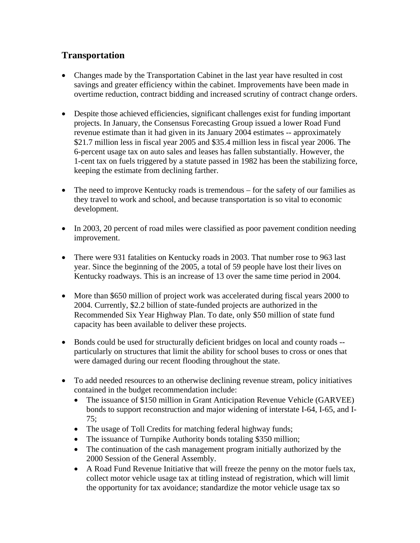## **Transportation**

- Changes made by the Transportation Cabinet in the last year have resulted in cost savings and greater efficiency within the cabinet. Improvements have been made in overtime reduction, contract bidding and increased scrutiny of contract change orders.
- Despite those achieved efficiencies, significant challenges exist for funding important projects. In January, the Consensus Forecasting Group issued a lower Road Fund revenue estimate than it had given in its January 2004 estimates -- approximately \$21.7 million less in fiscal year 2005 and \$35.4 million less in fiscal year 2006. The 6-percent usage tax on auto sales and leases has fallen substantially. However, the 1-cent tax on fuels triggered by a statute passed in 1982 has been the stabilizing force, keeping the estimate from declining farther.
- The need to improve Kentucky roads is tremendous for the safety of our families as they travel to work and school, and because transportation is so vital to economic development.
- In 2003, 20 percent of road miles were classified as poor pavement condition needing improvement.
- There were 931 fatalities on Kentucky roads in 2003. That number rose to 963 last year. Since the beginning of the 2005, a total of 59 people have lost their lives on Kentucky roadways. This is an increase of 13 over the same time period in 2004.
- More than \$650 million of project work was accelerated during fiscal years 2000 to 2004. Currently, \$2.2 billion of state-funded projects are authorized in the Recommended Six Year Highway Plan. To date, only \$50 million of state fund capacity has been available to deliver these projects.
- Bonds could be used for structurally deficient bridges on local and county roads -particularly on structures that limit the ability for school buses to cross or ones that were damaged during our recent flooding throughout the state.
- To add needed resources to an otherwise declining revenue stream, policy initiatives contained in the budget recommendation include:
	- The issuance of \$150 million in Grant Anticipation Revenue Vehicle (GARVEE) bonds to support reconstruction and major widening of interstate I-64, I-65, and I-75;
	- The usage of Toll Credits for matching federal highway funds;
	- The issuance of Turnpike Authority bonds totaling \$350 million;
	- The continuation of the cash management program initially authorized by the 2000 Session of the General Assembly.
	- A Road Fund Revenue Initiative that will freeze the penny on the motor fuels tax, collect motor vehicle usage tax at titling instead of registration, which will limit the opportunity for tax avoidance; standardize the motor vehicle usage tax so